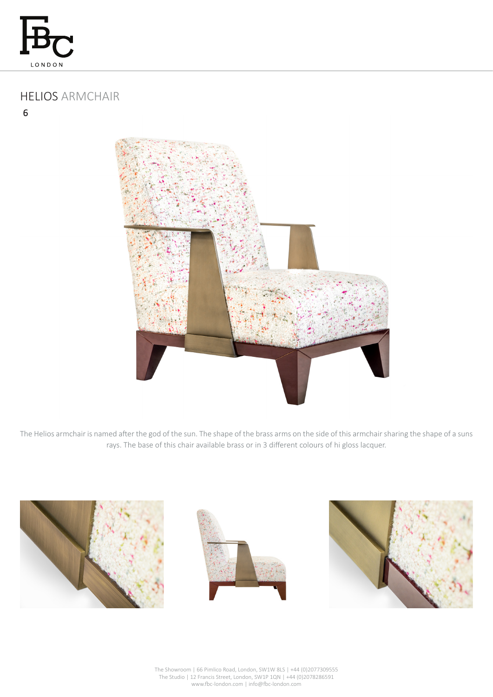

# HELIOS ARMCHAIR

 $6$ 



The Helios armchair is named after the god of the sun. The shape of the brass arms on the side of this armchair sharing the shape of a suns rays. The base of this chair available brass or in 3 different colours of hi gloss lacquer.